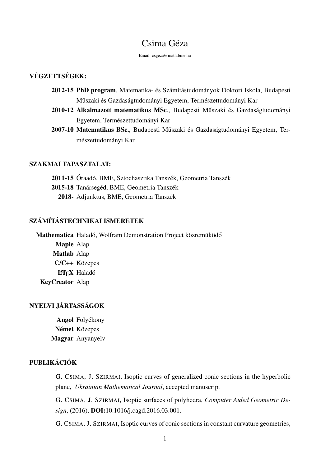# Csima Géza

Email: csgeza@math.bme.hu

## VÉGZETTSÉGEK:

- 2012-15 PhD program, Matematika- és Számítástudományok Doktori Iskola, Budapesti Műszaki és Gazdaságtudományi Egyetem, Természettudományi Kar
- 2010-12 Alkalmazott matematikus MSc., Budapesti Műszaki és Gazdaságtudományi Egyetem, Természettudományi Kar
- 2007-10 Matematikus BSc., Budapesti Műszaki és Gazdaságtudományi Egyetem, Természettudományi Kar

#### SZAKMAI TAPASZTALAT:

2011-15 Óraadó, BME, Sztochasztika Tanszék, Geometria Tanszék 2015-18 Tanársegéd, BME, Geometria Tanszék 2018- Adjunktus, BME, Geometria Tanszék

## SZÁMÍTÁSTECHNIKAI ISMERETEK

Mathematica Haladó, Wolfram Demonstration Project közreműködő Maple Alap Matlab Alap C/C++ Közepes **L'IEX** Haladó KeyCreator Alap

## NYELVI JÁRTASSÁGOK

Angol Folyékony Német Közepes Magyar Anyanyelv

# PUBLIKÁCIÓK

G. CSIMA, J. SZIRMAI, Isoptic curves of generalized conic sections in the hyperbolic plane, *Ukrainian Mathematical Journal*, accepted manuscript

G. CSIMA, J. SZIRMAI, Isoptic surfaces of polyhedra, *Computer Aided Geometric Design*, (2016), DOI:10.1016/j.cagd.2016.03.001.

G. CSIMA, J. SZIRMAI, Isoptic curves of conic sections in constant curvature geometries,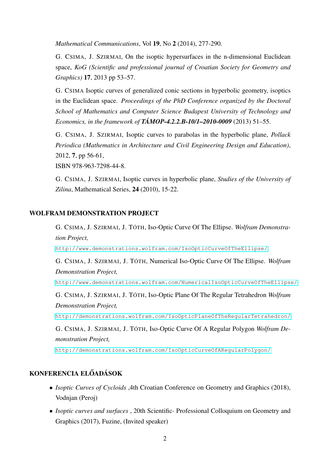*Mathematical Communications*, Vol 19, No 2 (2014), 277-290.

G. CSIMA, J. SZIRMAI, On the isoptic hypersurfaces in the n-dimensional Euclidean space, *KoG (Scientific and professional journal of Croatian Society for Geometry and Graphics)* 17, 2013 pp 53–57.

G. CSIMA Isoptic curves of generalized conic sections in hyperbolic geometry, isoptics in the Euclidean space. *Proceedings of the PhD Conference organized by the Doctoral School of Mathematics and Computer Science Budapest University of Technology and Economics, in the framework of TÁMOP-4.2.2.B-10/1–2010-0009* (2013) 51–55.

G. CSIMA, J. SZIRMAI, Isoptic curves to parabolas in the hyperbolic plane, *Pollack Periodica (Mathematics in Architecture and Civil Engineering Design and Education)*, 2012, 7, pp 56-61,

ISBN 978-963-7298-44-8.

G. CSIMA, J. SZIRMAI, Isoptic curves in hyperbolic plane, *Studies of the University of Zilina*, Mathematical Series, 24 (2010), 15-22.

#### WOLFRAM DEMONSTRATION PROJECT

G. CSIMA, J. SZIRMAI, J. TÓTH, Iso-Optic Curve Of The Ellipse. *Wolfram Demonstration Project,*

<http://www.demonstrations.wolfram.com/IsoOpticCurveOfTheEllipse/>

G. CSIMA, J. SZIRMAI, J. TÓTH, Numerical Iso-Optic Curve Of The Ellipse. *Wolfram Demonstration Project,*

<http://www.demonstrations.wolfram.com/NumericalIsoOpticCurveOfTheEllipse/>

G. CSIMA, J. SZIRMAI, J. TÓTH, Iso-Optic Plane Of The Regular Tetrahedron *Wolfram Demonstration Project,*

<http://demonstrations.wolfram.com/IsoOpticPlaneOfTheRegularTetrahedron/>

G. CSIMA, J. SZIRMAI, J. TÓTH, Iso-Optic Curve Of A Regular Polygon *Wolfram Demonstration Project,*

<http://demonstrations.wolfram.com/IsoOpticCurveOfARegularPolygon/>

## KONFERENCIA ELŐADÁSOK

- *Isoptic Curves of Cycloids* ,4th Croatian Conference on Geometry and Graphics (2018), Vodnjan (Peroj)
- *Isoptic curves and surfaces* , 20th Scientific- Professional Colloquium on Geometry and Graphics (2017), Fuzine, (Invited speaker)